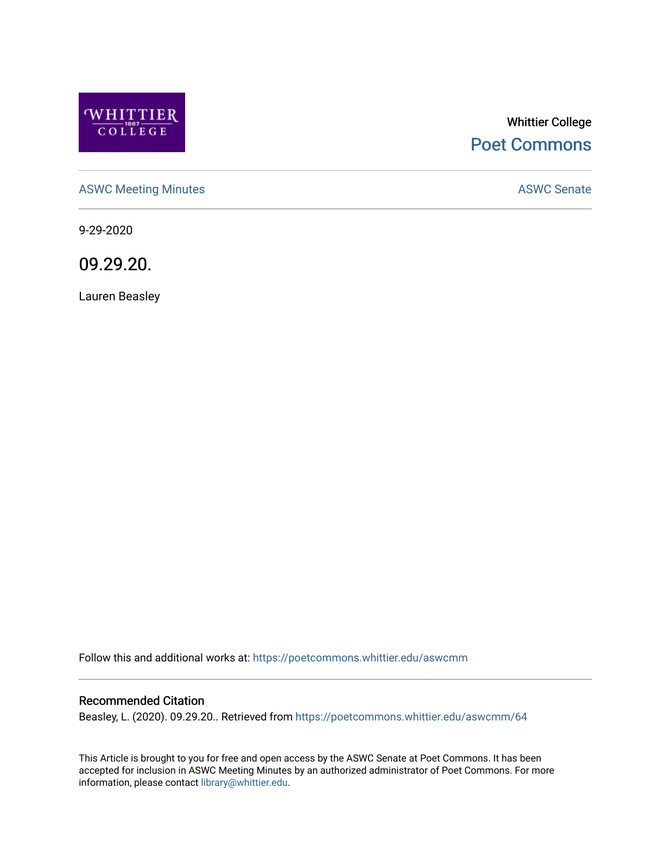

# Whittier College [Poet Commons](https://poetcommons.whittier.edu/)

[ASWC Meeting Minutes](https://poetcommons.whittier.edu/aswcmm) **ASWC Senate** 

9-29-2020

09.29.20.

Lauren Beasley

Follow this and additional works at: [https://poetcommons.whittier.edu/aswcmm](https://poetcommons.whittier.edu/aswcmm?utm_source=poetcommons.whittier.edu%2Faswcmm%2F64&utm_medium=PDF&utm_campaign=PDFCoverPages)

#### Recommended Citation

Beasley, L. (2020). 09.29.20.. Retrieved from [https://poetcommons.whittier.edu/aswcmm/64](https://poetcommons.whittier.edu/aswcmm/64?utm_source=poetcommons.whittier.edu%2Faswcmm%2F64&utm_medium=PDF&utm_campaign=PDFCoverPages)

This Article is brought to you for free and open access by the ASWC Senate at Poet Commons. It has been accepted for inclusion in ASWC Meeting Minutes by an authorized administrator of Poet Commons. For more information, please contact [library@whittier.edu.](mailto:library@whittier.edu)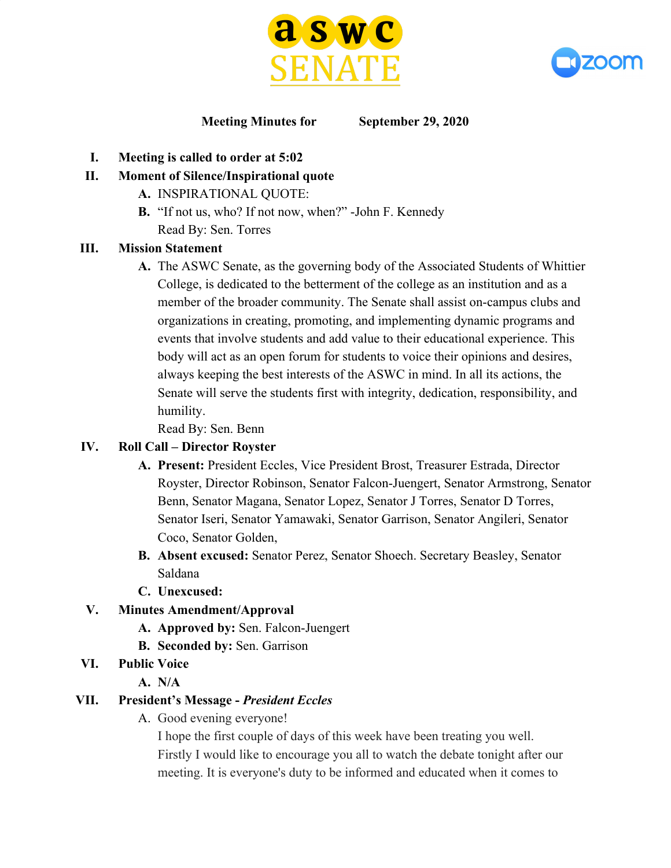



#### **Meeting Minutes for September 29, 2020**

- **I. Meeting is called to order at 5:02**
- **II. Moment of Silence/Inspirational quote**
	- **A.** INSPIRATIONAL QUOTE:
	- **B.** "If not us, who? If not now, when?" -John F. Kennedy Read By: Sen. Torres

#### **III. Mission Statement**

**A.** The ASWC Senate, as the governing body of the Associated Students of Whittier College, is dedicated to the betterment of the college as an institution and as a member of the broader community. The Senate shall assist on-campus clubs and organizations in creating, promoting, and implementing dynamic programs and events that involve students and add value to their educational experience. This body will act as an open forum for students to voice their opinions and desires, always keeping the best interests of the ASWC in mind. In all its actions, the Senate will serve the students first with integrity, dedication, responsibility, and humility.

Read By: Sen. Benn

### **IV. Roll Call – Director Royster**

- **A. Present:** President Eccles, Vice President Brost, Treasurer Estrada, Director Royster, Director Robinson, Senator Falcon-Juengert, Senator Armstrong, Senator Benn, Senator Magana, Senator Lopez, Senator J Torres, Senator D Torres, Senator Iseri, Senator Yamawaki, Senator Garrison, Senator Angileri, Senator Coco, Senator Golden,
- **B. Absent excused:** Senator Perez, Senator Shoech. Secretary Beasley, Senator Saldana
- **C. Unexcused:**

### **V. Minutes Amendment/Approval**

- **A. Approved by:** Sen. Falcon-Juengert
- **B. Seconded by:** Sen. Garrison
- **VI. Public Voice**
	- **A. N/A**

### **VII. President's Message -** *President Eccles*

A. Good evening everyone!

I hope the first couple of days of this week have been treating you well. Firstly I would like to encourage you all to watch the debate tonight after our meeting. It is everyone's duty to be informed and educated when it comes to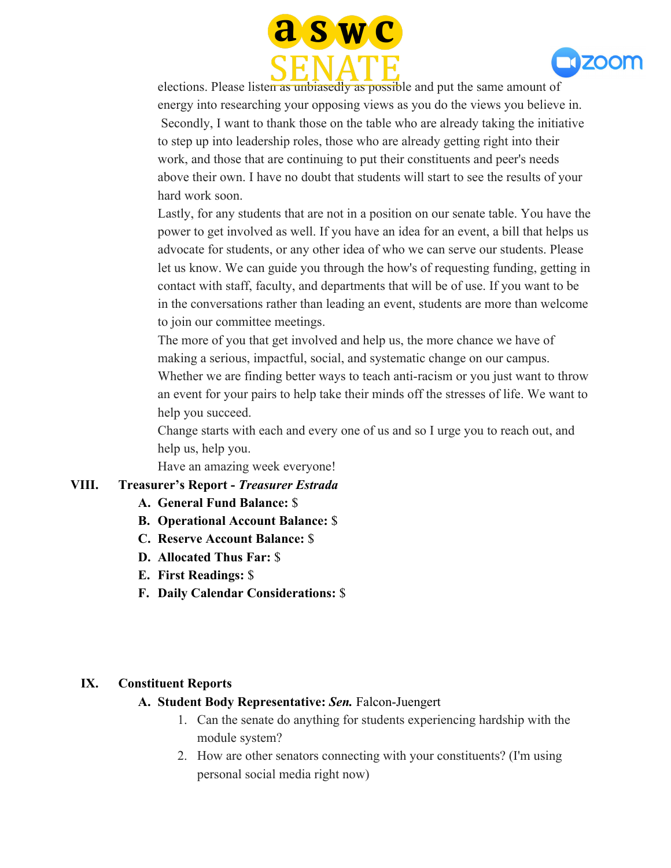



elections. Please listen as unbiasedly as possible and put the same amount of energy into researching your opposing views as you do the views you believe in. Secondly, I want to thank those on the table who are already taking the initiative to step up into leadership roles, those who are already getting right into their work, and those that are continuing to put their constituents and peer's needs above their own. I have no doubt that students will start to see the results of your hard work soon.

Lastly, for any students that are not in a position on our senate table. You have the power to get involved as well. If you have an idea for an event, a bill that helps us advocate for students, or any other idea of who we can serve our students. Please let us know. We can guide you through the how's of requesting funding, getting in contact with staff, faculty, and departments that will be of use. If you want to be in the conversations rather than leading an event, students are more than welcome to join our committee meetings.

The more of you that get involved and help us, the more chance we have of making a serious, impactful, social, and systematic change on our campus. Whether we are finding better ways to teach anti-racism or you just want to throw an event for your pairs to help take their minds off the stresses of life. We want to help you succeed.

Change starts with each and every one of us and so I urge you to reach out, and help us, help you.

Have an amazing week everyone!

#### **VIII. Treasurer's Report -** *Treasurer Estrada*

- **A. General Fund Balance:** \$
- **B. Operational Account Balance:** \$
- **C. Reserve Account Balance:** \$
- **D. Allocated Thus Far:** \$
- **E. First Readings:** \$
- **F. Daily Calendar Considerations:** \$

#### **IX. Constituent Reports**

#### **A. Student Body Representative:** *Sen.* Falcon-Juengert

- 1. Can the senate do anything for students experiencing hardship with the module system?
- 2. How are other senators connecting with your constituents? (I'm using personal social media right now)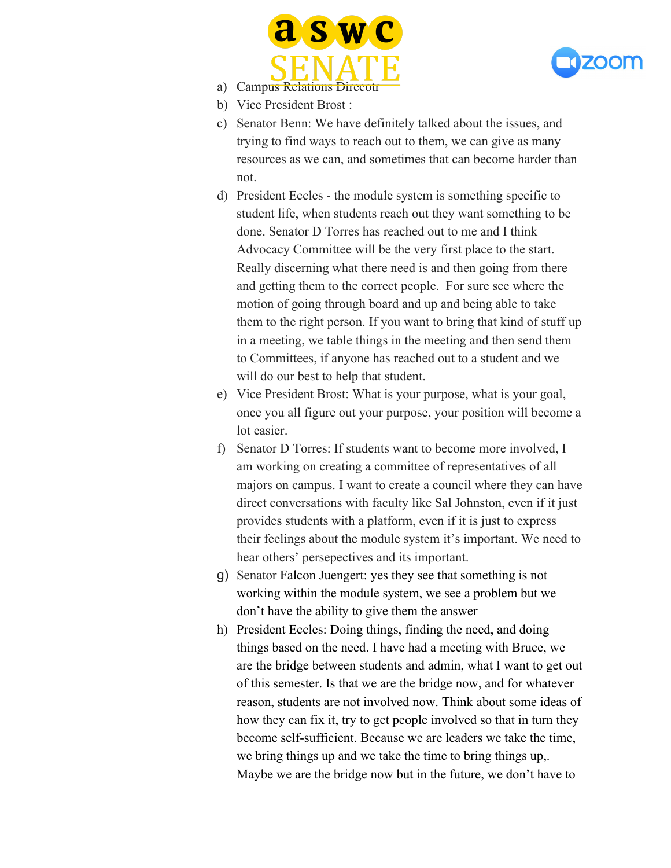



- a) Campus Relations Direcot
- b) Vice President Brost :
- c) Senator Benn: We have definitely talked about the issues, and trying to find ways to reach out to them, we can give as many resources as we can, and sometimes that can become harder than not.
- d) President Eccles the module system is something specific to student life, when students reach out they want something to be done. Senator D Torres has reached out to me and I think Advocacy Committee will be the very first place to the start. Really discerning what there need is and then going from there and getting them to the correct people. For sure see where the motion of going through board and up and being able to take them to the right person. If you want to bring that kind of stuff up in a meeting, we table things in the meeting and then send them to Committees, if anyone has reached out to a student and we will do our best to help that student.
- e) Vice President Brost: What is your purpose, what is your goal, once you all figure out your purpose, your position will become a lot easier.
- f) Senator D Torres: If students want to become more involved, I am working on creating a committee of representatives of all majors on campus. I want to create a council where they can have direct conversations with faculty like Sal Johnston, even if it just provides students with a platform, even if it is just to express their feelings about the module system it's important. We need to hear others' persepectives and its important.
- g) Senator Falcon Juengert: yes they see that something is not working within the module system, we see a problem but we don't have the ability to give them the answer
- h) President Eccles: Doing things, finding the need, and doing things based on the need. I have had a meeting with Bruce, we are the bridge between students and admin, what I want to get out of this semester. Is that we are the bridge now, and for whatever reason, students are not involved now. Think about some ideas of how they can fix it, try to get people involved so that in turn they become self-sufficient. Because we are leaders we take the time, we bring things up and we take the time to bring things up,. Maybe we are the bridge now but in the future, we don't have to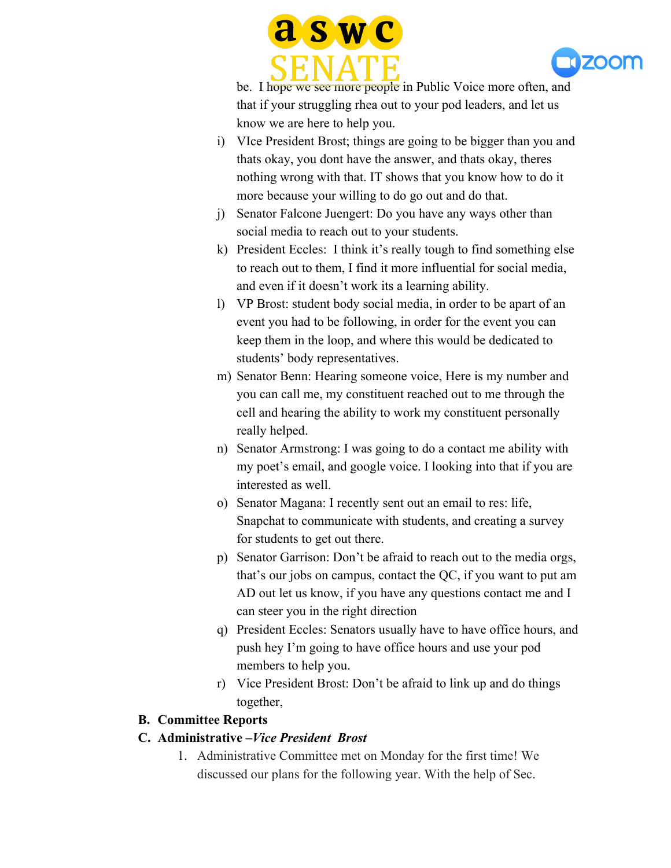



be. I hope we see more people in Public Voice more often, and that if your struggling rhea out to your pod leaders, and let us know we are here to help you.

- i) VIce President Brost; things are going to be bigger than you and thats okay, you dont have the answer, and thats okay, theres nothing wrong with that. IT shows that you know how to do it more because your willing to do go out and do that.
- j) Senator Falcone Juengert: Do you have any ways other than social media to reach out to your students.
- k) President Eccles: I think it's really tough to find something else to reach out to them, I find it more influential for social media, and even if it doesn't work its a learning ability.
- l) VP Brost: student body social media, in order to be apart of an event you had to be following, in order for the event you can keep them in the loop, and where this would be dedicated to students' body representatives.
- m) Senator Benn: Hearing someone voice, Here is my number and you can call me, my constituent reached out to me through the cell and hearing the ability to work my constituent personally really helped.
- n) Senator Armstrong: I was going to do a contact me ability with my poet's email, and google voice. I looking into that if you are interested as well.
- o) Senator Magana: I recently sent out an email to res: life, Snapchat to communicate with students, and creating a survey for students to get out there.
- p) Senator Garrison: Don't be afraid to reach out to the media orgs, that's our jobs on campus, contact the QC, if you want to put am AD out let us know, if you have any questions contact me and I can steer you in the right direction
- q) President Eccles: Senators usually have to have office hours, and push hey I'm going to have office hours and use your pod members to help you.
- r) Vice President Brost: Don't be afraid to link up and do things together,

### **B. Committee Reports**

# **C. Administrative –***Vice President Brost*

1. Administrative Committee met on Monday for the first time! We discussed our plans for the following year. With the help of Sec.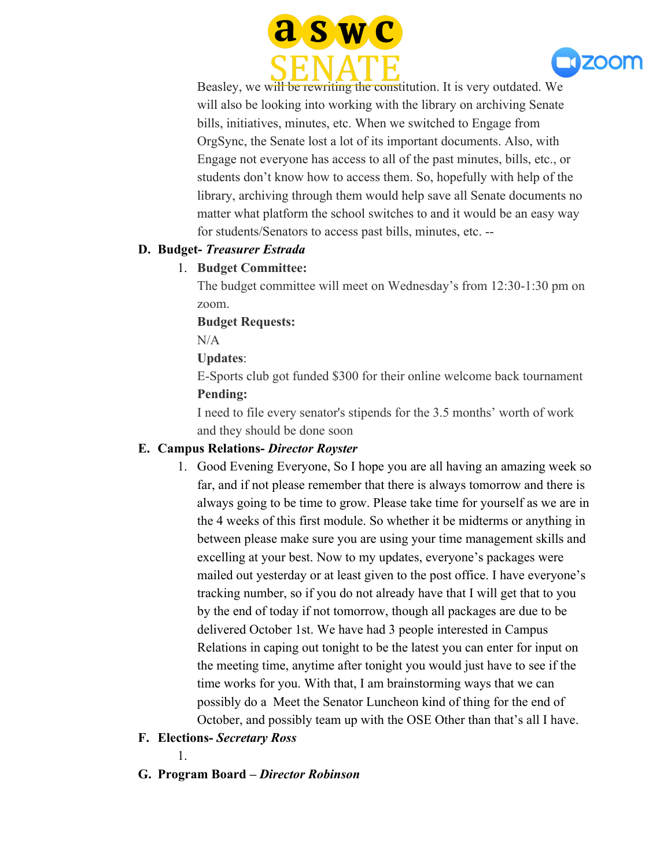



Beasley, we will be rewriting the constitution. It is very outdated. We will also be looking into working with the library on archiving Senate bills, initiatives, minutes, etc. When we switched to Engage from OrgSync, the Senate lost a lot of its important documents. Also, with Engage not everyone has access to all of the past minutes, bills, etc., or students don't know how to access them. So, hopefully with help of the library, archiving through them would help save all Senate documents no matter what platform the school switches to and it would be an easy way for students/Senators to access past bills, minutes, etc. --

#### **D. Budget-** *Treasurer Estrada*

### 1. **Budget Committee:**

The budget committee will meet on Wednesday's from 12:30-1:30 pm on zoom.

#### **Budget Requests:**

N/A

### **Updates**:

E-Sports club got funded \$300 for their online welcome back tournament **Pending:**

I need to file every senator's stipends for the 3.5 months' worth of work and they should be done soon

### **E. Campus Relations-** *Director Royster*

- 1. Good Evening Everyone, So I hope you are all having an amazing week so far, and if not please remember that there is always tomorrow and there is always going to be time to grow. Please take time for yourself as we are in the 4 weeks of this first module. So whether it be midterms or anything in between please make sure you are using your time management skills and excelling at your best. Now to my updates, everyone's packages were mailed out yesterday or at least given to the post office. I have everyone's tracking number, so if you do not already have that I will get that to you by the end of today if not tomorrow, though all packages are due to be delivered October 1st. We have had 3 people interested in Campus Relations in caping out tonight to be the latest you can enter for input on the meeting time, anytime after tonight you would just have to see if the time works for you. With that, I am brainstorming ways that we can possibly do a Meet the Senator Luncheon kind of thing for the end of October, and possibly team up with the OSE Other than that's all I have.
- **F. Elections-** *Secretary Ross*

1.

**G. Program Board –** *Director Robinson*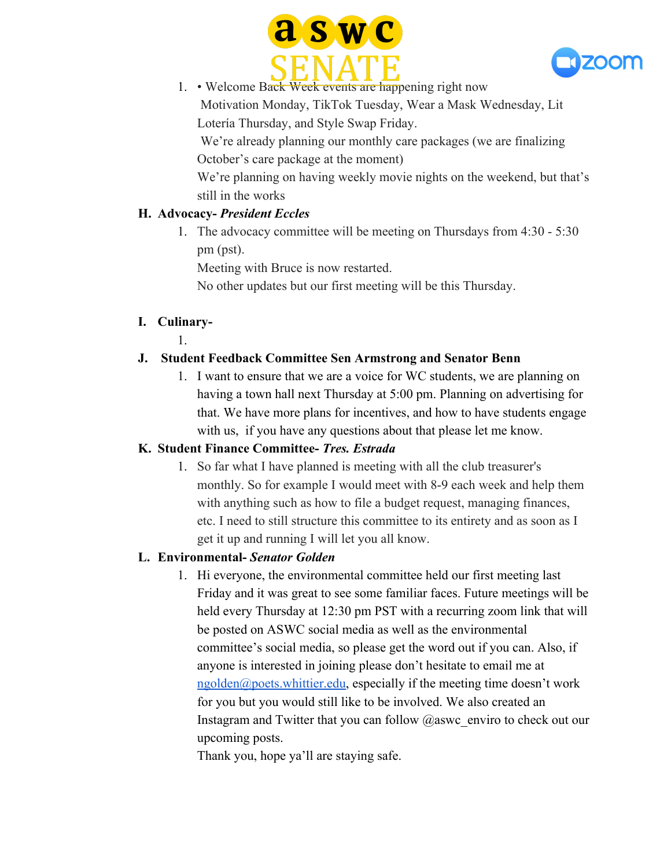



1. • Welcome Back Week events are happening right now Motivation Monday, TikTok Tuesday, Wear a Mask Wednesday, Lit Lotería Thursday, and Style Swap Friday.

We're already planning our monthly care packages (we are finalizing October's care package at the moment)

We're planning on having weekly movie nights on the weekend, but that's still in the works

### **H. Advocacy-** *President Eccles*

1. The advocacy committee will be meeting on Thursdays from 4:30 - 5:30 pm (pst).

Meeting with Bruce is now restarted.

No other updates but our first meeting will be this Thursday.

### **I. Culinary-**

1.

# **J. Student Feedback Committee Sen Armstrong and Senator Benn**

1. I want to ensure that we are a voice for WC students, we are planning on having a town hall next Thursday at 5:00 pm. Planning on advertising for that. We have more plans for incentives, and how to have students engage with us, if you have any questions about that please let me know.

# **K. Student Finance Committee-** *Tres. Estrada*

1. So far what I have planned is meeting with all the club treasurer's monthly. So for example I would meet with 8-9 each week and help them with anything such as how to file a budget request, managing finances, etc. I need to still structure this committee to its entirety and as soon as I get it up and running I will let you all know.

# **L. Environmental-** *Senator Golden*

1. Hi everyone, the environmental committee held our first meeting last Friday and it was great to see some familiar faces. Future meetings will be held every Thursday at 12:30 pm PST with a recurring zoom link that will be posted on ASWC social media as well as the environmental committee's social media, so please get the word out if you can. Also, if anyone is interested in joining please don't hesitate to email me at  $n$ golden@poets.whittier.edu, especially if the meeting time doesn't work for you but you would still like to be involved. We also created an Instagram and Twitter that you can follow  $@$  aswc\_enviro to check out our upcoming posts.

Thank you, hope ya'll are staying safe.